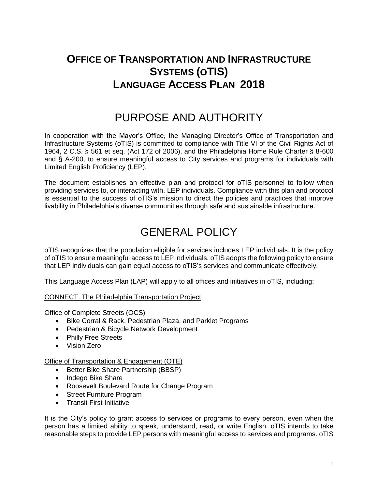### **OFFICE OF TRANSPORTATION AND INFRASTRUCTURE SYSTEMS (OTIS) LANGUAGE ACCESS PLAN 2018**

### PURPOSE AND AUTHORITY

In cooperation with the Mayor's Office, the Managing Director's Office of Transportation and Infrastructure Systems (oTIS) is committed to compliance with Title VI of the Civil Rights Act of 1964, 2 C.S. § 561 et seq. (Act 172 of 2006), and the Philadelphia Home Rule Charter § 8-600 and § A-200, to ensure meaningful access to City services and programs for individuals with Limited English Proficiency (LEP).

The document establishes an effective plan and protocol for oTIS personnel to follow when providing services to, or interacting with, LEP individuals. Compliance with this plan and protocol is essential to the success of oTIS's mission to direct the policies and practices that improve livability in Philadelphia's diverse communities through safe and sustainable infrastructure.

## GENERAL POLICY

oTIS recognizes that the population eligible for services includes LEP individuals. It is the policy of oTIS to ensure meaningful access to LEP individuals. oTIS adopts the following policy to ensure that LEP individuals can gain equal access to oTIS's services and communicate effectively.

This Language Access Plan (LAP) will apply to all offices and initiatives in oTIS, including:

#### CONNECT: The Philadelphia Transportation Project

Office of Complete Streets (OCS)

- Bike Corral & Rack, Pedestrian Plaza, and Parklet Programs
- Pedestrian & Bicycle Network Development
- Philly Free Streets
- Vision Zero

#### Office of Transportation & Engagement (OTE)

- Better Bike Share Partnership (BBSP)
- Indego Bike Share
- Roosevelt Boulevard Route for Change Program
- Street Furniture Program
- Transit First Initiative

It is the City's policy to grant access to services or programs to every person, even when the person has a limited ability to speak, understand, read, or write English. oTIS intends to take reasonable steps to provide LEP persons with meaningful access to services and programs. oTIS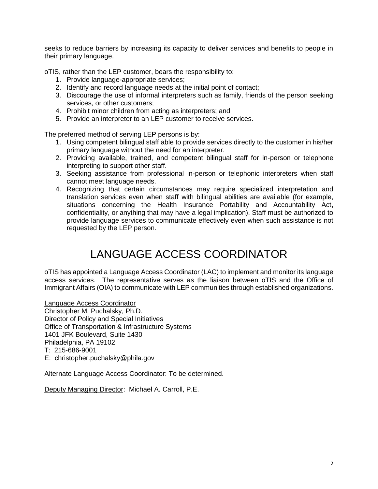seeks to reduce barriers by increasing its capacity to deliver services and benefits to people in their primary language.

oTIS, rather than the LEP customer, bears the responsibility to:

- 1. Provide language-appropriate services;
- 2. Identify and record language needs at the initial point of contact;
- 3. Discourage the use of informal interpreters such as family, friends of the person seeking services, or other customers;
- 4. Prohibit minor children from acting as interpreters; and
- 5. Provide an interpreter to an LEP customer to receive services.

The preferred method of serving LEP persons is by:

- 1. Using competent bilingual staff able to provide services directly to the customer in his/her primary language without the need for an interpreter.
- 2. Providing available, trained, and competent bilingual staff for in-person or telephone interpreting to support other staff.
- 3. Seeking assistance from professional in-person or telephonic interpreters when staff cannot meet language needs.
- 4. Recognizing that certain circumstances may require specialized interpretation and translation services even when staff with bilingual abilities are available (for example, situations concerning the Health Insurance Portability and Accountability Act, confidentiality, or anything that may have a legal implication). Staff must be authorized to provide language services to communicate effectively even when such assistance is not requested by the LEP person.

## LANGUAGE ACCESS COORDINATOR

oTIS has appointed a Language Access Coordinator (LAC) to implement and monitor its language access services. The representative serves as the liaison between oTIS and the Office of Immigrant Affairs (OIA) to communicate with LEP communities through established organizations.

Language Access Coordinator

Christopher M. Puchalsky, Ph.D. Director of Policy and Special Initiatives Office of Transportation & Infrastructure Systems 1401 JFK Boulevard, Suite 1430 Philadelphia, PA 19102 T: 215-686-9001 E: christopher.puchalsky@phila.gov

Alternate Language Access Coordinator: To be determined.

Deputy Managing Director: Michael A. Carroll, P.E.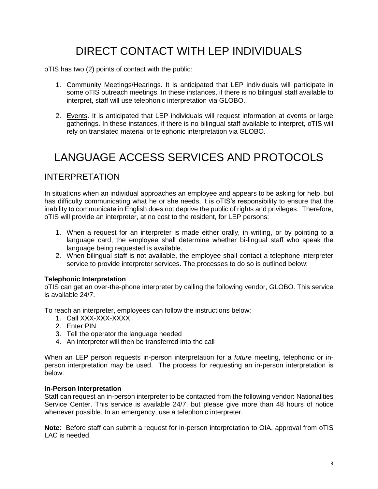# DIRECT CONTACT WITH LEP INDIVIDUALS

oTIS has two (2) points of contact with the public:

- 1. Community Meetings/Hearings. It is anticipated that LEP individuals will participate in some oTIS outreach meetings. In these instances, if there is no bilingual staff available to interpret, staff will use telephonic interpretation via GLOBO.
- 2. Events. It is anticipated that LEP individuals will request information at events or large gatherings. In these instances, if there is no bilingual staff available to interpret, oTIS will rely on translated material or telephonic interpretation via GLOBO.

### LANGUAGE ACCESS SERVICES AND PROTOCOLS

### INTERPRETATION

In situations when an individual approaches an employee and appears to be asking for help, but has difficulty communicating what he or she needs, it is oTIS's responsibility to ensure that the inability to communicate in English does not deprive the public of rights and privileges. Therefore, oTIS will provide an interpreter, at no cost to the resident, for LEP persons:

- 1. When a request for an interpreter is made either orally, in writing, or by pointing to a language card, the employee shall determine whether bi-lingual staff who speak the language being requested is available.
- 2. When bilingual staff is not available, the employee shall contact a telephone interpreter service to provide interpreter services. The processes to do so is outlined below:

#### **Telephonic Interpretation**

oTIS can get an over-the-phone interpreter by calling the following vendor, GLOBO. This service is available 24/7.

To reach an interpreter, employees can follow the instructions below:

- 1. Call XXX-XXX-XXXX
- 2. Enter PIN
- 3. Tell the operator the language needed
- 4. An interpreter will then be transferred into the call

When an LEP person requests in-person interpretation for a *future* meeting, telephonic or inperson interpretation may be used. The process for requesting an in-person interpretation is below:

#### **In-Person Interpretation**

Staff can request an in-person interpreter to be contacted from the following vendor: Nationalities Service Center. This service is available 24/7, but please give more than 48 hours of notice whenever possible. In an emergency, use a telephonic interpreter.

**Note**: Before staff can submit a request for in-person interpretation to OIA, approval from oTIS LAC is needed.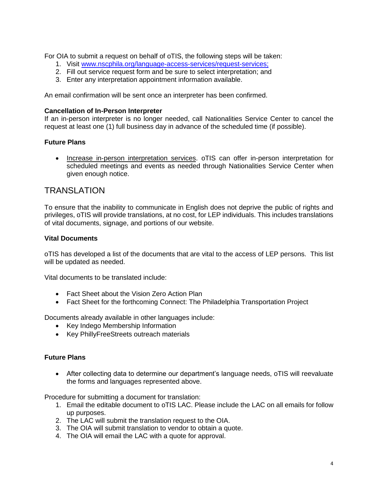For OIA to submit a request on behalf of oTIS, the following steps will be taken:

- 1. Visit [www.nscphila.org/language-access-services/request-services;](http://www.nscphila.org/language-access-services/request-services)
- 2. Fill out service request form and be sure to select interpretation; and
- 3. Enter any interpretation appointment information available.

An email confirmation will be sent once an interpreter has been confirmed.

#### **Cancellation of In-Person Interpreter**

If an in-person interpreter is no longer needed, call Nationalities Service Center to cancel the request at least one (1) full business day in advance of the scheduled time (if possible).

#### **Future Plans**

• Increase in-person interpretation services. oTIS can offer in-person interpretation for scheduled meetings and events as needed through Nationalities Service Center when given enough notice.

### **TRANSLATION**

To ensure that the inability to communicate in English does not deprive the public of rights and privileges, oTIS will provide translations, at no cost, for LEP individuals. This includes translations of vital documents, signage, and portions of our website.

#### **Vital Documents**

oTIS has developed a list of the documents that are vital to the access of LEP persons. This list will be updated as needed.

Vital documents to be translated include:

- Fact Sheet about the Vision Zero Action Plan
- Fact Sheet for the forthcoming Connect: The Philadelphia Transportation Project

Documents already available in other languages include:

- Key Indego Membership Information
- Key PhillyFreeStreets outreach materials

#### **Future Plans**

• After collecting data to determine our department's language needs, oTIS will reevaluate the forms and languages represented above.

Procedure for submitting a document for translation:

- 1. Email the editable document to oTIS LAC. Please include the LAC on all emails for follow up purposes.
- 2. The LAC will submit the translation request to the OIA.
- 3. The OIA will submit translation to vendor to obtain a quote.
- 4. The OIA will email the LAC with a quote for approval.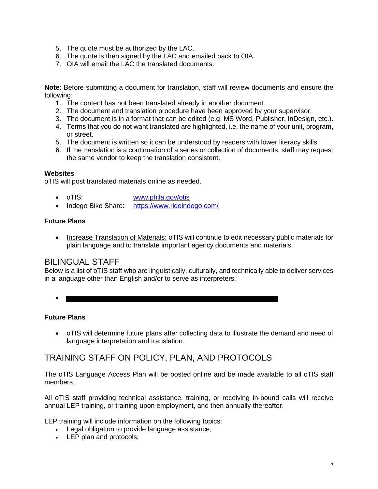- 5. The quote must be authorized by the LAC.
- 6. The quote is then signed by the LAC and emailed back to OIA.
- 7. OIA will email the LAC the translated documents.

**Note**: Before submitting a document for translation, staff will review documents and ensure the following:

- 1. The content has not been translated already in another document.
- 2. The document and translation procedure have been approved by your supervisor.
- 3. The document is in a format that can be edited (e.g. MS Word, Publisher, InDesign, etc.).
- 4. Terms that you do not want translated are highlighted, i.e. the name of your unit, program, or street.
- 5. The document is written so it can be understood by readers with lower literacy skills.
- 6. If the translation is a continuation of a series or collection of documents, staff may request the same vendor to keep the translation consistent.

#### **Websites**

oTIS will post translated materials online as needed.

- oTIS: [www.phila.gov/otis](http://phillyotis.com/)
- Indego Bike Share: https://www.rideindego.com/

#### **Future Plans**

• Increase Translation of Materials: oTIS will continue to edit necessary public materials for plain language and to translate important agency documents and materials.

#### BILINGUAL STAFF

Below is a list of oTIS staff who are linguistically, culturally, and technically able to deliver services in a language other than English and/or to serve as interpreters.

•

#### **Future Plans**

• oTIS will determine future plans after collecting data to illustrate the demand and need of language interpretation and translation.

### TRAINING STAFF ON POLICY, PLAN, AND PROTOCOLS

The oTIS Language Access Plan will be posted online and be made available to all oTIS staff members.

All oTIS staff providing technical assistance, training, or receiving in-bound calls will receive annual LEP training, or training upon employment, and then annually thereafter.

LEP training will include information on the following topics:

- Legal obligation to provide language assistance;
- LEP plan and protocols;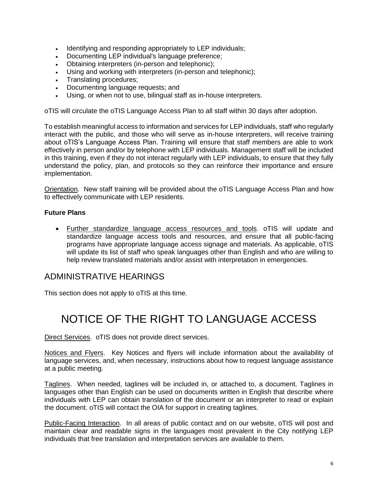- Identifying and responding appropriately to LEP individuals;
- Documenting LEP individual's language preference;
- Obtaining interpreters (in-person and telephonic);
- Using and working with interpreters (in-person and telephonic);
- Translating procedures;
- Documenting language requests; and
- Using, or when not to use, bilingual staff as in-house interpreters.

oTIS will circulate the oTIS Language Access Plan to all staff within 30 days after adoption.

To establish meaningful access to information and services for LEP individuals, staff who regularly interact with the public, and those who will serve as in-house interpreters, will receive training about oTIS's Language Access Plan. Training will ensure that staff members are able to work effectively in person and/or by telephone with LEP individuals. Management staff will be included in this training, even if they do not interact regularly with LEP individuals, to ensure that they fully understand the policy, plan, and protocols so they can reinforce their importance and ensure implementation.

Orientation. New staff training will be provided about the oTIS Language Access Plan and how to effectively communicate with LEP residents.

#### **Future Plans**

• Further standardize language access resources and tools. oTIS will update and standardize language access tools and resources, and ensure that all public-facing programs have appropriate language access signage and materials. As applicable, oTIS will update its list of staff who speak languages other than English and who are willing to help review translated materials and/or assist with interpretation in emergencies.

### ADMINISTRATIVE HEARINGS

This section does not apply to oTIS at this time.

## NOTICE OF THE RIGHT TO LANGUAGE ACCESS

Direct Services. oTIS does not provide direct services.

Notices and Flyers. Key Notices and flyers will include information about the availability of language services, and, when necessary, instructions about how to request language assistance at a public meeting.

Taglines. When needed, taglines will be included in, or attached to, a document. Taglines in languages other than English can be used on documents written in English that describe where individuals with LEP can obtain translation of the document or an interpreter to read or explain the document. oTIS will contact the OIA for support in creating taglines.

Public-Facing Interaction. In all areas of public contact and on our website, oTIS will post and maintain clear and readable signs in the languages most prevalent in the City notifying LEP individuals that free translation and interpretation services are available to them.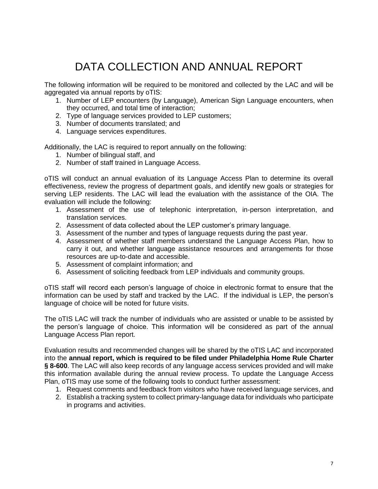# DATA COLLECTION AND ANNUAL REPORT

The following information will be required to be monitored and collected by the LAC and will be aggregated via annual reports by oTIS:

- 1. Number of LEP encounters (by Language), American Sign Language encounters, when they occurred, and total time of interaction;
- 2. Type of language services provided to LEP customers;
- 3. Number of documents translated; and
- 4. Language services expenditures.

Additionally, the LAC is required to report annually on the following:

- 1. Number of bilingual staff, and
- 2. Number of staff trained in Language Access.

oTIS will conduct an annual evaluation of its Language Access Plan to determine its overall effectiveness, review the progress of department goals, and identify new goals or strategies for serving LEP residents. The LAC will lead the evaluation with the assistance of the OIA. The evaluation will include the following:

- 1. Assessment of the use of telephonic interpretation, in-person interpretation, and translation services.
- 2. Assessment of data collected about the LEP customer's primary language.
- 3. Assessment of the number and types of language requests during the past year.
- 4. Assessment of whether staff members understand the Language Access Plan, how to carry it out, and whether language assistance resources and arrangements for those resources are up-to-date and accessible.
- 5. Assessment of complaint information; and
- 6. Assessment of soliciting feedback from LEP individuals and community groups.

oTIS staff will record each person's language of choice in electronic format to ensure that the information can be used by staff and tracked by the LAC. If the individual is LEP, the person's language of choice will be noted for future visits.

The oTIS LAC will track the number of individuals who are assisted or unable to be assisted by the person's language of choice. This information will be considered as part of the annual Language Access Plan report.

Evaluation results and recommended changes will be shared by the oTIS LAC and incorporated into the **annual report, which is required to be filed under Philadelphia Home Rule Charter § 8-600**. The LAC will also keep records of any language access services provided and will make this information available during the annual review process. To update the Language Access Plan, oTIS may use some of the following tools to conduct further assessment:

- 1. Request comments and feedback from visitors who have received language services, and
- 2. Establish a tracking system to collect primary-language data for individuals who participate in programs and activities.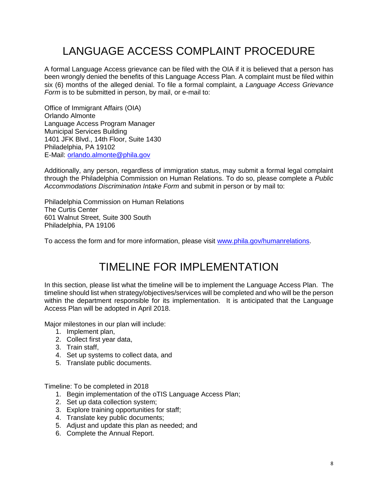# LANGUAGE ACCESS COMPLAINT PROCEDURE

A formal Language Access grievance can be filed with the OIA if it is believed that a person has been wrongly denied the benefits of this Language Access Plan. A complaint must be filed within six (6) months of the alleged denial. To file a formal complaint, a *Language Access Grievance Form* is to be submitted in person, by mail, or e-mail to:

Office of Immigrant Affairs (OIA) Orlando Almonte Language Access Program Manager Municipal Services Building 1401 JFK Blvd., 14th Floor, Suite 1430 Philadelphia, PA 19102 E-Mail: [orlando.almonte@phila.gov](mailto:orlando.almonte@phila.gov)

Additionally, any person, regardless of immigration status, may submit a formal legal complaint through the Philadelphia Commission on Human Relations. To do so, please complete a *Public Accommodations Discrimination Intake Form* and submit in person or by mail to:

Philadelphia Commission on Human Relations The Curtis Center 601 Walnut Street, Suite 300 South Philadelphia, PA 19106

To access the form and for more information, please visit [www.phila.gov/humanrelations.](http://www.phila.gov/humanrelations)

## TIMELINE FOR IMPLEMENTATION

In this section, please list what the timeline will be to implement the Language Access Plan. The timeline should list when strategy/objectives/services will be completed and who will be the person within the department responsible for its implementation. It is anticipated that the Language Access Plan will be adopted in April 2018.

Major milestones in our plan will include:

- 1. Implement plan,
- 2. Collect first year data,
- 3. Train staff,
- 4. Set up systems to collect data, and
- 5. Translate public documents.

Timeline: To be completed in 2018

- 1. Begin implementation of the oTIS Language Access Plan;
- 2. Set up data collection system;
- 3. Explore training opportunities for staff;
- 4. Translate key public documents;
- 5. Adjust and update this plan as needed; and
- 6. Complete the Annual Report.